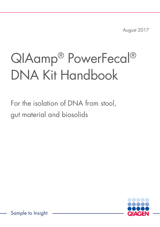August 2017

# QIAamp® PowerFecal® DNA Kit Handbook

For the isolation of DNA from stool, gut material and biosolids



Sample to Insight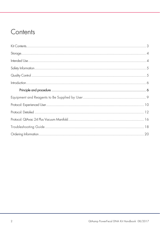### Contents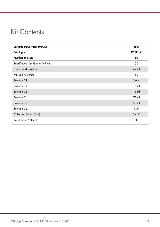### Kit Contents

| QIAamp PowerFecal DNA Kit     | (50)          |
|-------------------------------|---------------|
| Catalog no.                   | 12830-50      |
| Number of preps               | 50            |
| Bead Tubes, Dry Garnet 0.7 mm | 50            |
| <b>PowerBead Solution</b>     | 42 ml         |
| <b>MB Spin Columns</b>        | 50            |
| Solution C1                   | $6.6$ m       |
| Solution C <sub>2</sub>       | $15$ m        |
| Solution C3                   | $15$ m        |
| Solution C4                   | 72 ml         |
| Solution C5                   | 30 ml         |
| Solution C6                   | $9$ m         |
| Collection Tubes (2 ml)       | $4 \times 50$ |
| Quick Start Protocol          | 1             |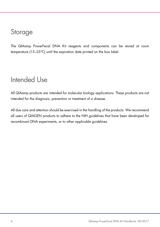#### **Storage**

The QIAamp PowerFecal DNA Kit reagents and components can be stored at room temperature (15–25°C) until the expiration date printed on the box label.

### Intended Use

All QIAamp products are intended for molecular biology applications. These products are not intended for the diagnosis, prevention or treatment of a disease.

All due care and attention should be exercised in the handling of the products. We recommend all users of QIAGEN products to adhere to the NIH guidelines that have been developed for recombinant DNA experiments, or to other applicable guidelines.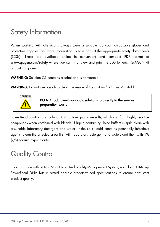### Safety Information

When working with chemicals, always wear a suitable lab coat, disposable gloves and protective goggles. For more information, please consult the appropriate safety data sheets (SDSs). These are available online in convenient and compact PDF format at www.qiagen.com/safety where you can find, view and print the SDS for each QIAGEN kit and kit component.

WARNING: Solution C5 contains alcohol and is flammable.

WARNING: Do not use bleach to clean the inside of the QIAvac® 24 Plus Manifold.



DO NOT add bleach or acidic solutions to directly to the sample preparation waste

PowerBead Solution and Solution C4 contain guanidine salts, which can form highly reactive compounds when combined with bleach. If liquid containing these buffers is spilt, clean with a suitable laboratory detergent and water. If the spilt liquid contains potentially infectious agents, clean the affected area first with laboratory detergent and water, and then with 1% (v/v) sodium hypochlorite.

### Quality Control

In accordance with QIAGEN's ISO-certified Quality Management System, each lot of QIAamp PowerFecal DNA Kits is tested against predetermined specifications to ensure consistent product quality.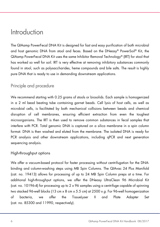#### Introduction

The QIAamp PowerFecal DNA Kit is designed for fast and easy purification of both microbial and host genomic DNA from stool and feces. Based on the DNeasy® PowerSoil® Kit, the QIAamp PowerFecal DNA Kit uses the same Inhibitor Removal Technology® (IRT) for stool that has worked so well for soil. IRT is very effective at removing inhibitory substances commonly found in stool, such as polysaccharides, heme compounds and bile salts. The result is highly pure DNA that is ready to use in demanding downstream applications.

#### Principle and procedure

We recommend starting with 0.25 grams of stools or biosolids. Each sample is homogenized in a 2 ml bead beating tube containing garnet beads. Cell lysis of host cells, as well as microbial cells, is facilitated by both mechanical collisions between beads and chemical disruption of cell membranes, ensuring efficient extraction from even the toughest microorganisms. The IRT is then used to remove common substances in fecal samples that interfere with PCR. Total genomic DNA is captured on a silica membrane in a spin column format. DNA is then washed and eluted from the membrane. The isolated DNA is ready for PCR analysis and other downstream applications, including qPCR and next generation sequencing analysis.

#### High-throughput options

We offer a vacuum-based protocol for faster processing without centrifugation for the DNAbinding and column-washing steps using MB Spin Columns. The QIAvac 24 Plus Manifold (cat. no. 19413) allows for processing of up to 24 MB Spin Column preps at a time. For additional high-throughput options, we offer the DNeasy UltraClean 96 Microbial Kit (cat. no. 10196-4) for processing up to 2 x 96 samples using a centrifuge capable of spinning two stacked 96-well blocks (13 cm  $\times$  8 cm  $\times$  5.5 cm) at 2500  $\times$  g. For 96-well homogenization of bacteria, we offer the TissueLyser II and Plate Adapter Set (cat. no. 85300 and 11990, respectively).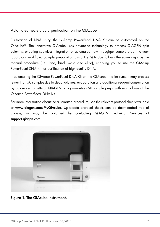#### Automated nucleic acid purification on the QIAcube

Purification of DNA using the QIAamp PowerFecal DNA Kit can be automated on the QIAcube®. The innovative QIAcube uses advanced technology to process QIAGEN spin columns, enabling seamless integration of automated, low-throughput sample prep into your laboratory workflow. Sample preparation using the QIAcube follows the same steps as the manual procedure (i.e., lyse, bind, wash and elute), enabling you to use the QIAamp PowerFecal DNA Kit for purification of high-quality DNA.

If automating the QIAamp PowerFecal DNA Kit on the QIAcube, the instrument may process fewer than 50 samples due to dead volumes, evaporation and additional reagent consumption by automated pipetting. QIAGEN only guarantees 50 sample preps with manual use of the QIAamp PowerFecal DNA Kit.

For more information about the automated procedure, see the relevant protocol sheet available at www.qiagen.com/MyQIAcube. Up-to-date protocol sheets can be downloaded free of charge, or may be obtained by contacting QIAGEN Technical Services at support.qiagen.com.



Figure 1. The QIAcube instrument.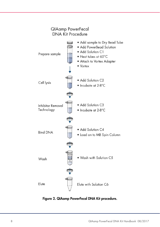

Figure 2. QIAamp PowerFecal DNA Kit procedure.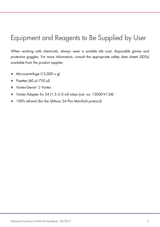### Equipment and Reagents to Be Supplied by User

When working with chemicals, always wear a suitable lab coat, disposable gloves and protective goggles. For more information, consult the appropriate safety data sheets (SDSs) available from the product supplier.

- $\bullet$  Microcentrifuge (13,000 x g)
- Pipettes (60 μl–750 μl)
- Vortex-Genie<sup>®</sup> 2 Vortex
- Vortex Adapter for 24 (1.5–2.0 ml) tubes (cat. no. 13000-V1-24)
- 100% ethanol (for the QIAvac 24 Plus Manifold protocol)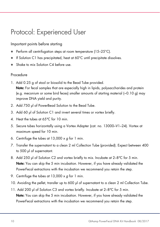### Protocol: Experienced User

#### Important points before starting

- Perform all centrifugation steps at room temperature (15–25°C).
- If Solution C1 has precipitated, heat at 60°C until precipitate dissolves.
- Shake to mix Solution C4 before use.

#### Procedure

- 1. Add 0.25 g of stool or biosolid to the Bead Tube provided. Note: For fecal samples that are especially high in lipids, polysaccharides and protein (e.g. meconium or some bird feces) smaller amounts of starting material  $\sim$  0.10 g) may improve DNA yield and purity.
- 2. Add 750 μl of PowerBead Solution to the Bead Tube.
- 3. Add 60 μl of Solution C1 and invert several times or vortex briefly.
- 4. Heat the tubes at 65°C for 10 min.
- 5. Secure tubes horizontally using a Vortex Adapter (cat. no. 13000–V1–24). Vortex at maximum speed for 10 min.
- 6. Centrifuge the tubes at  $13,000 \times g$  for 1 min.
- 7. Transfer the supernatant to a clean 2 ml Collection Tube (provided). Expect between 400 to 500 μl of supernatant.
- 8. Add 250 μl of Solution C2 and vortex briefly to mix. Incubate at 2–8°C for 5 min. Note: You can skip the 5 min incubation. However, if you have already validated the PowerFecal extractions with the incubation we recommend you retain the step.
- 9. Centrifuge the tubes at  $13,000 \times g$  for 1 min.
- 10. Avoiding the pellet, transfer up to 600 μl of supernatant to a clean 2 ml Collection Tube.
- 11. Add 200 μl of Solution C3 and vortex briefly. Incubate at 2–8°C for 5 min. Note: You can skip the 5 min incubation. However, if you have already validated the PowerFecal extractions with the incubation we recommend you retain the step.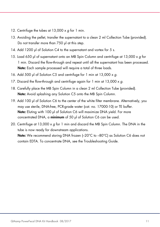- 12. Centrifuge the tubes at  $13,000 \times g$  for 1 min.
- 13. Avoiding the pellet, transfer the supernatant to a clean 2 ml Collection Tube (provided). Do not transfer more than 750 μl at this step.
- 14. Add 1200 μl of Solution C4 to the supernatant and vortex for 5 s.
- 15. Load 650 μl of supernatant onto an MB Spin Column and centrifuge at 13,000 x g for 1 min. Discard the flow-through and repeat until all the supernatant has been processed. Note: Each sample processed will require a total of three loads.
- 16. Add 500 μl of Solution C5 and centrifuge for 1 min at 13,000 x g.
- 17. Discard the flow-through and centrifuge again for 1 min at  $13,000 \times g$ .
- 18. Carefully place the MB Spin Column in a clean 2 ml Collection Tube (provided). Note: Avoid splashing any Solution C5 onto the MB Spin Column.
- 19. Add 100 μl of Solution C6 to the center of the white filter membrane. Alternatively, you may use sterile, DNA-free, PCR-grade water (cat. no. 17000-10) or TE buffer. Note: Eluting with 100 µl of Solution C6 will maximize DNA vield. For more concentrated DNA, a minimum of 50 µl of Solution C6 can be used.
- 20. Centrifuge at 13,000  $\times$  g for 1 min and discard the MB Spin Column. The DNA in the tube is now ready for downstream applications.

Note: We recommend storing DNA frozen (-20°C to -80°C) as Solution C6 does not contain EDTA. To concentrate DNA, see the Troubleshooting Guide.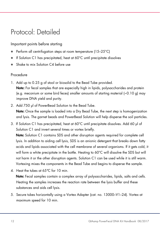### Protocol: Detailed

Important points before starting

- Perform all centrifugation steps at room temperature (15–25°C)
- If Solution C1 has precipitated, heat at 60°C until precipitate dissolves
- Shake to mix Solution C4 before use

#### Procedure

- 1. Add up to 0.25 g of stool or biosolid to the Bead Tube provided. Note: For fecal samples that are especially high in lipids, polysaccharides and protein (e.g. meconium or some bird feces) smaller amounts of starting material  $\sim$  0.10 g) may improve DNA yield and purity.
- 2. Add 750 μl of PowerBead Solution to the Bead Tube. Note: Once the sample is loaded into a Dry Bead Tube, the next step is homogenization and lysis. The garnet beads and PowerBead Solution will help disperse the soil particles.
- 3. If Solution C1 has precipitated, heat at 60°C until precipitate dissolves. Add 60 μl of Solution C1 and invert several times or vortex briefly.

Note: Solution C1 contains SDS and other disruption agents required for complete cell lysis. In addition to aiding cell lysis, SDS is an anionic detergent that breaks down fatty acids and lipids associated with the cell membrane of several organisms. If it gets cold, it will form a white precipitate in the bottle. Heating to 60°C will dissolve the SDS but will not harm it or the other disruption agents. Solution C1 can be used while it is still warm. Vortexing mixes the components in the Bead Tube and begins to disperse the sample.

4. Heat the tubes at 65°C for 10 min.

Note: Fecal samples contain a complex array of polysaccharides, lipids, salts and cells. Heating the samples increases the reaction rate between the lysis buffer and these substances and aids cell lysis.

5. Secure tubes horizontally using a Vortex Adapter (cat. no. 13000–V1–24). Vortex at maximum speed for 10 min.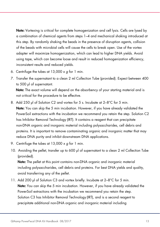Note: Vortexing is critical for complete homogenization and cell lysis. Cells are lysed by a combination of chemical agents from steps 1–4 and mechanical shaking introduced at this step. By randomly shaking the beads in the presence of disruption agents, collision of the beads with microbial cells will cause the cells to break open. Use of the vortex adapter will maximize homogenization, which can lead to higher DNA yields. Avoid using tape, which can become loose and result in reduced homogenization efficiency, inconsistent results and reduced yields.

- 6. Centrifuge the tubes at  $13,000 \times q$  for 1 min.
- 7. Transfer the supernatant to a clean 2 ml Collection Tube (provided). Expect between 400 to 500 μl of supernatant.

Note: The exact volume will depend on the absorbency of your starting material and is not critical for the procedure to be effective.

- 8. Add 250 μl of Solution C2 and vortex for 5 s. Incubate at 2–8°C for 5 min. Note: You can skip the 5 min incubation. However, if you have already validated the PowerSoil extractions with the incubation we recommend you retain the step. Solution C2 has Inhibitor Removal Technology (IRT). It contains a reagent that can precipitate non-DNA organic and inorganic material including polysaccharides, cell debris and proteins. It is important to remove contaminating organic and inorganic matter that may reduce DNA purity and inhibit downstream DNA applications.
- 9. Centrifuge the tubes at  $13,000 \times g$  for 1 min.
- 10. Avoiding the pellet, transfer up to 600 μl of supernatant to a clean 2 ml Collection Tube (provided).

Note: The pellet at this point contains non-DNA organic and inorganic material including polysaccharides, cell debris and proteins. For best DNA yields and quality, avoid transferring any of the pellet.

11. Add 200 μl of Solution C3 and vortex briefly. Incubate at 2–8°C for 5 min. Note: You can skip the 5 min incubation. However, if you have already validated the PowerSoil extractions with the incubation we recommend you retain the step. Solution C3 has Inhibitor Removal Technology (IRT), and is a second reagent to precipitate additional non-DNA organic and inorganic material including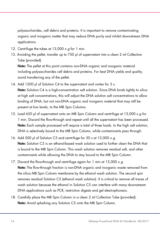polysaccharides, cell debris and proteins. It is important to remove contaminating organic and inorganic matter that may reduce DNA purity and inhibit downstream DNA applications.

- 12. Centrifuge the tubes at  $13,000 \times q$  for 1 min.
- 13. Avoiding the pellet, transfer up to 750 μl of supernatant into a clean 2 ml Collection Tube (provided).

Note: The pellet at this point contains non-DNA organic and inorganic material including polysaccharides cell debris and proteins. For best DNA yields and quality, avoid transferring any of the pellet.

- 14. Add 1200 μl of Solution C4 to the supernatant and vortex for 5 s. Note: Solution C4 is a high-concentration salt solution. Since DNA binds tightly to silica at high salt concentrations, this will adjust the DNA solution salt concentrations to allow binding of DNA, but not non-DNA organic and inorganic material that may still be present at low levels, to the MB Spin Columns.
- 15. Load 650 μl of supernatant onto an MB Spin Column and centrifuge at 13,000 x g for 1 min. Discard the flow-through and repeat until all the supernatant has been processed. Note: Each sample processed will require a total of three loads. In the high salt solution, DNA is selectively bound to the MB Spin Column, while contaminants pass through.
- 16. Add 500 μl of Solution C5 and centrifuge for 30 s at 13,000  $\times$  g. Note: Solution C5 is an ethanol-based wash solution used to further clean the DNA that is bound to the MB Spin Column. This wash solution removes residual salt, and other contaminants while allowing the DNA to stay bound to the MB Spin Column.
- 17. Discard the flow-through and centrifuge again for 1 min at  $13,000 \times g$ . **Note:** The flow-through fraction is non-DNA organic and inorganic waste removed from the silica MB Spin Column membrane by the ethanol wash solution. The second spin removes residual Solution C5 (ethanol wash solution). It is critical to remove all traces of wash solution because the ethanol in Solution C5 can interfere with many downstream DNA applications such as PCR, restriction digests and gel electrophoresis.
- 18. Carefully place the MB Spin Column in a clean 2 ml Collection Tube (provided). Note: Avoid splashing any Solution C5 onto the MB Spin Column.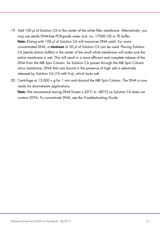- 19. Add 100 μl of Solution C6 to the center of the white filter membrane. Alternatively, you may use sterile DNA-free PCR-grade water (cat. no. 17000-10) or TE buffer. Note: Eluting with 100 µl of Solution C6 will maximize DNA vield. For more concentrated DNA, a minimum of 50 µl of Solution C6 can be used. Placing Solution C6 (sterile elution buffer) in the center of the small white membrane will make sure the entire membrane is wet. This will result in a more efficient and complete release of the DNA from the MB Spin Column. As Solution C6 passes through the MB Spin Column silica membrane, DNA that was bound in the presence of high salt is selectively released by Solution C6 (10 mM Tris), which lacks salt.
- 20. Centrifuge at 13,000  $\times$  g for 1 min and discard the MB Spin Column. The DNA is now ready for downstream applications.

Note: We recommend storing DNA frozen (-20°C to -80°C) as Solution C6 does not contain EDTA. To concentrate DNA, see the Troubleshooting Guide.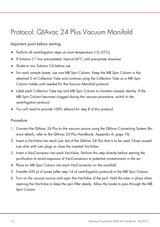### Protocol: QIAvac 24 Plus Vacuum Manifold

Important point before starting

- Perform all centrifugation steps at room temperature (15–25°C)
- If Solution C1 has precipitated, heat at 60°C until precipitate dissolves
- Shake to mix Solution C4 before use
- For each sample lysate, use one MB Spin Column. Keep the MB Spin Column in the attached 2 ml Collection Tube and continue using the Collection Tube as a MB Spin Column holder until needed for the Vacuum Manifold protocol.
- Label each Collection Tube top and MB Spin Column to maintain sample identity. If the MB Spin Column becomes clogged during the vacuum procedure, switch to the centrifugation protocol.
- You will need to provide 100% ethanol for step 8 of this protocol.

#### Procedure

- 1. Connect the QIAvac 24 Plus to the vacuum source using the QIAvac Connecting System (for more details, refer to the QIAvac 24 Plus Handbook, Appendix A, page 16).
- 2. Insert a VacValve into each Luer slot of the QIAvac 24 Plus that is to be used. Close unused Luer slots with Luer plugs or close the inserted VacValve.
- 3. Insert a VacConnector into each VacValve. Perform this step directly before starting the purification to avoid exposure of VacConnectors to potential contaminants in the air.
- 4. Place an MB Spin Column into each VacConnector on the manifold.
- 5. Transfer 650 µl of lysate (after step 14 of centrifugation protocol) to the MB Spin Column.
- 6. Turn on the vacuum source and open the VacValve of the port. Hold the tube in place when opening the VacValve to keep the spin filter steady. Allow the lysate to pass through the MB Spin Column.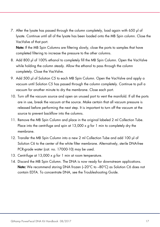7. After the lysate has passed through the column completely, load again with 650 µl of lysate. Continue until all of the lysate has been loaded onto the MB Spin column. Close the VacValve of that port.

Note: If the MB Spin Columns are filtering slowly, close the ports to samples that have completed filtering to increase the pressure to the other columns.

- 8. Add 800 µl of 100% ethanol to completely fill the MB Spin Column. Open the VacValve while holding the column steady. Allow the ethanol to pass through the column completely. Close the VacValve.
- 9. Add 500 µl of Solution C5 to each MB Spin Column. Open the VacValve and apply a vacuum until Solution C5 has passed through the column completely. Continue to pull a vacuum for another minute to dry the membrane. Close each port.
- 10. Turn off the vacuum source and open an unused port to vent the manifold. If all the ports are in use, break the vacuum at the source. Make certain that all vacuum pressure is released before performing the next step. It is important to turn off the vacuum at the source to prevent backflow into the columns.
- 11. Remove the MB Spin Column and place in the original labeled 2 ml Collection Tube. Place into the centrifuge and spin at  $13,000 \times g$  for 1 min to completely dry the membrane.
- 12. Transfer the MB Spin Column into a new 2 ml Collection Tube and add 100 µl of Solution C6 to the center of the white filter membrane. Alternatively, sterile DNA-free PCR-grade water (cat. no. 17000-10) may be used.
- 13. Centrifuge at 13,000 x q for 1 min at room temperature.
- 14. Discard the MB Spin Column. The DNA is now ready for downstream applications. Note: We recommend storing DNA frozen (-20°C to -80°C) as Solution C6 does not contain EDTA. To concentrate DNA, see the Troubleshooting Guide.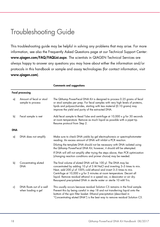### Troubleshooting Guide

This troubleshooting guide may be helpful in solving any problems that may arise. For more information, see also the Frequently Asked Questions page at our Technical Support Center: www.qiagen.com/FAQ/FAQList.aspx. The scientists in QIAGEN Technical Services are always happy to answer any questions you may have about either the information and/or protocols in this handbook or sample and assay technologies (for contact information, visit www.qiagen.com).

|            |                                                | <b>Comments and suggestions</b>                                                                                                                                                                                                                                                                                                                                                                                                                    |  |  |  |
|------------|------------------------------------------------|----------------------------------------------------------------------------------------------------------------------------------------------------------------------------------------------------------------------------------------------------------------------------------------------------------------------------------------------------------------------------------------------------------------------------------------------------|--|--|--|
|            | <b>Fecal processing</b>                        |                                                                                                                                                                                                                                                                                                                                                                                                                                                    |  |  |  |
| a)         | Amount of fecal or stool<br>sample to process  | The QIAamp PowerFecal DNA Kit is designed to process 0.25 grams of fecal<br>or stool samples per prep. For fecal samples with very high levels of proteins,<br>lipids and polysaccharides, starting with less material (0.10 grams) may<br>improve the yield and purity of the extracted DNA.                                                                                                                                                      |  |  |  |
| b)         | Fecal sample is wet                            | Add fecal sample to Bead Tube and centrifuge at 10,000 x g for 30 seconds<br>at room temperature. Remove as much liquid as possible with a pipet tip.<br>Resume protocol from Step 2.                                                                                                                                                                                                                                                              |  |  |  |
| <b>DNA</b> |                                                |                                                                                                                                                                                                                                                                                                                                                                                                                                                    |  |  |  |
| a)         | DNA does not amplify                           | Make sure to check DNA yields by gel electrophoresis or spectrophotometer<br>reading. An excess amount of DNA will inhibit a PCR reaction.                                                                                                                                                                                                                                                                                                         |  |  |  |
|            |                                                | Diluting the template DNA should not be necessary with DNA isolated using<br>the QIAamp PowerFecal DNA Kit; however, it should still be attempted.                                                                                                                                                                                                                                                                                                 |  |  |  |
|            |                                                | If DNA will still not amplify after trying the steps above, then PCR optimization<br>(changing reaction conditions and primer choice) may be needed.                                                                                                                                                                                                                                                                                               |  |  |  |
| b)         | Concentrating eluted<br><b>DNA</b>             | The final volume of eluted DNA will be 100 µl. The DNA may be<br>concentrated by adding 10 µl of 5 M NaCl and inverting 3-5 times to mix.<br>Next, add 200 µl of 100% cold ethanol and invert 3-5 times to mix.<br>Centrifuge at $10,000 \times g$ for 5 minutes at room temperature. Decant all<br>liquid. Remove residual ethanol in a speed vac, a dessicator or air dry.<br>Resuspend precipitated DNA in sterile water or sterile 10 mM Tris. |  |  |  |
| c)         | DNA floats out of a well<br>when loading a gel | This usually occurs because residual Solution C5 remains in the final sample.<br>Prevent this by being careful in step 18 and not transferring liquid onto the<br>bottom of the spin filter basket. Ethanol precipitation (described in<br>"Concentrating eluted DNA") is the best way to remove residual Solution C5.                                                                                                                             |  |  |  |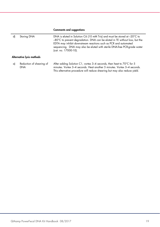#### Comments and suggestions

| d)                        | Storing DNA                            | DNA is eluted in Solution C6 (10 mM Tris) and must be stored at $-20^{\circ}$ C to<br>-80°C to prevent degradation. DNA can be eluted in TE without loss, but the<br>EDTA may inhibit downstream reactions such as PCR and automated<br>sequencing. DNA may also be eluted with sterile DNA-free PCR-grade water<br>(cat. no. 17000-10). |  |  |  |
|---------------------------|----------------------------------------|------------------------------------------------------------------------------------------------------------------------------------------------------------------------------------------------------------------------------------------------------------------------------------------------------------------------------------------|--|--|--|
| Alternative lysis methods |                                        |                                                                                                                                                                                                                                                                                                                                          |  |  |  |
| a)                        | Reduction of shearing of<br><b>DNA</b> | After adding Solution C1, vortex 3-4 seconds, then heat to 70°C for 5<br>minutes. Vortex 3-4 seconds. Heat another 5 minutes. Vortex 3-4 seconds.<br>This alternative procedure will reduce shearing but may also reduce yield.                                                                                                          |  |  |  |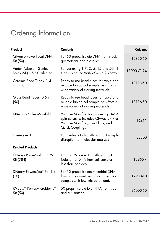## Ordering Information

| Product                                               | <b>Contents</b>                                                                                                                     | Cat. no.    |
|-------------------------------------------------------|-------------------------------------------------------------------------------------------------------------------------------------|-------------|
| QIAamp PowerFecal DNA<br>Kit (50)                     | For 50 preps: Isolate DNA from stool,<br>gut material and biosolids.                                                                | 12830-50    |
| Vortex Adapter, Genie,<br>holds 24 (1.5-2.0 ml) tubes | For vortexing 1.7, 2, 5, 15 and 50 ml<br>tubes using the Vortex-Genie 2 Vortex.                                                     | 13000-V1-24 |
| Ceramic Bead Tubes, 1.4<br>mm (50)                    | Ready to use bead tubes for rapid and<br>reliable biological sample lysis from a<br>wide variety of starting materials.             | 13113-50    |
| Glass Bead Tubes, 0.5 mm<br>(50)                      | Ready to use bead tubes for rapid and<br>reliable biological sample lysis from a<br>wide variety of starting materials.             | 13116-50    |
| QIAvac 24 Plus Manifold                               | Vacuum Manifold for processing 1-24<br>spin columns; includes QIAvac 24 Plus<br>Vacuum Manifold, Luer Plugs, and<br>Quick Couplings | 19413       |
| TissueLyser II                                        | For medium- to high-throughput sample<br>disruption for molecular analysis                                                          | 85300       |
| <b>Related Products</b>                               |                                                                                                                                     |             |
| DNeasy PowerSoil HTP 96<br>Kit (384)                  | For 4 x 96 preps: High-throughput<br>isolation of DNA from soil samples in<br>less than one day.                                    | 12955-4     |
| DNeasy PowerMax <sup>®</sup> Soil Kit<br>(10)         | For 10 preps: Isolate microbial DNA<br>from large quantities of soil; great for<br>samples with low microbial load.                 | 12988-10    |
| RNeasy® PowerMicrobiome®<br>Kit (50)                  | 50 preps: Isolate total RNA from stool<br>and gut material.                                                                         | 26000-50    |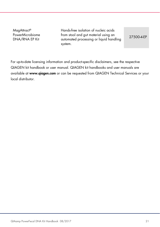MagAttract® PowerMicrobiome DNA/RNA EP Kit

Hands-free isolation of nucleic acids from stool and gut material using an automated processing or liquid handling system.

27500-4-EP

For up-to-date licensing information and product-specific disclaimers, see the respective QIAGEN kit handbook or user manual. QIAGEN kit handbooks and user manuals are available at www.qiagen.com or can be requested from QIAGEN Technical Services or your local distributor.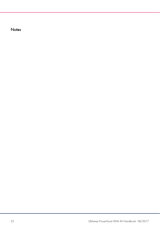**Notes**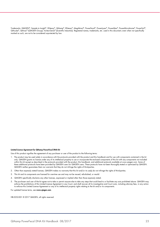Trademarks: QIAGEN®, Sample to Insight®, DNeasy®, QIAamp®, RNeasy®, MagAttract®, PowerFecal®, PowerUzer®, PowerMax®, PowerMicrobiome®, PowerSoil®, QIAcube® , QIAvac® (QIAGEN Group); Vortex-Genie® (Scientific Industries). Registered names, trademarks, etc. used in this document, even when not specifically marked as such, are not to be considered unprotected by law.

#### Limited License Agreement for QIAamp PowerFecal DNA Kit

Use of this product signifies the agreement of any purchaser or user of the product to the following terms:

- 1. The product may be used solely in accordance with the protocols provided with the product and this handbook and for use with components contained in the kit only. QIAGEN grants no license under any of its intellectual property to use or incorporate the enclosed components of this kit with any components not included within this kit except as described in the protocols provided with the product, this handbook, and additional protocols available at www.qiagen.com. Some of these additional protocols have been provided by QIAGEN users for QIAGEN users. These protocols have not been thoroughly tested or optimized by QIAGEN. QIAGEN neither guarantees them nor warrants that they do not infringe the rights of third-parties.
- 2. Other than expressly stated licenses, QIAGEN makes no warranty that this kit and/or its use(s) do not infringe the rights of third-parties.
- 3. This kit and its components are licensed for one-time use and may not be reused, refurbished, or resold.
- 4. QIAGEN specifically disclaims any other licenses, expressed or implied other than those expressly stated.
- 5. The purchaser and user of the kit agree not to take or permit anyone else to take any steps that could lead to or facilitate any acts prohibited above. QIAGEN may enforce the prohibitions of this Limited License Agreement in any Court, and shall recover all its investigative and Court costs, including attorney fees, in any action to enforce this Limited License Agreement or any of its intellectual property rights relating to the kit and/or its components.

For updated license terms, see www.qiagen.com.

HB-2252-001 © 2017 QIAGEN, all rights reserved.